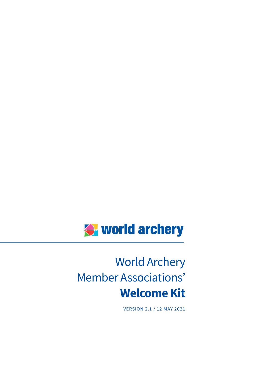

# World Archery Member Associations' **Welcome Kit**

VERSION 2.1 / 12 MAY 2021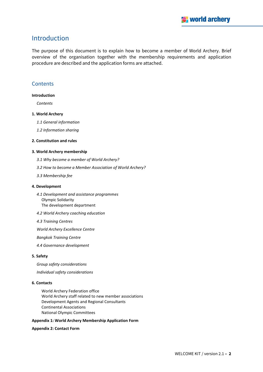# <span id="page-1-0"></span>Introduction

The purpose of this document is to explain how to become a member of World Archery. Brief overview of the organisation together with the membership requirements and application procedure are described and the application forms are attached.

#### <span id="page-1-1"></span>**Contents**

#### **[Introduction](#page-1-0)**

*[Contents](#page-1-1)*

#### **[1. World Archery](#page-2-0)**

*[1.1 General information](#page-2-1)*

*[1.2 Information sharing](#page-3-0)*

#### **[2. Constitution and rules](#page-3-1)**

#### **[3. World Archery membership](#page-4-0)**

- *[3.1 Why become a member of World Archery?](#page-4-1)*
- *[3.2 How to become a Member Association of World Archery?](#page-5-0)*
- *[3.3 Membership fee](#page-6-0)*

#### **[4. Development](#page-7-0)**

- *[4.1 Development and assistance programmes](#page-7-1)* [Olympic Solidarity](#page-7-2) [The development department](#page-7-3)
- *[4.2 World Archery coaching education](#page-8-0)*
- *[4.3 Training Centres](#page-8-1)*

*[World Archery Excellence Centre](#page-8-2)*

*[Bangkok Training Centre](#page-8-3)*

*[4.4 Governance development](#page-8-4)*

#### **[5. Safety](#page-9-0)**

*[Group safety considerations](#page-9-1) [Individual safety considerations](#page-9-2)*

#### **[6. Contacts](#page-10-0)**

[World Archery Federation office](#page-10-1) [World Archery staff related to new member associations](#page-10-2) [Development Agents and Regional Consultants](#page-10-3) [Continental Associations](#page-10-4) [National Olympic Committees](#page-10-5)

#### **[Appendix 1: World Archery Membership Application Form](#page-11-0)**

#### **[Appendix 2: Contact Form](#page-12-0)**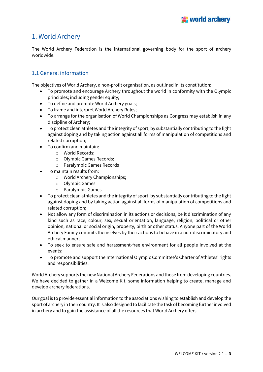# <span id="page-2-0"></span>1. World Archery

The World Archery Federation is the international governing body for the sport of archery worldwide.

## <span id="page-2-1"></span>1.1 General information

The objectives of World Archery, a non-profit organisation, as outlined in its constitution:

- To promote and encourage Archery throughout the world in conformity with the Olympic principles; including gender equity;
- To define and promote World Archery goals;
- To frame and interpret World Archery Rules;
- To arrange for the organisation of World Championships as Congress may establish in any discipline of Archery;
- To protect clean athletes and the integrity of sport, by substantially contributing to the fight against doping and by taking action against all forms of manipulation of competitions and related corruption;
- To confirm and maintain:
	- o World Records;
	- o Olympic Games Records;
	- o Paralympic Games Records
- To maintain results from:
	- o World Archery Championships;
	- o Olympic Games
	- o Paralympic Games
- To protect clean athletes and the integrity of sport, by substantially contributing to the fight against doping and by taking action against all forms of manipulation of competitions and related corruption;
- Not allow any form of discrimination in its actions or decisions, be it discrimination of any kind such as race, colour, sex, sexual orientation, language, religion, political or other opinion, national or social origin, property, birth or other status. Anyone part of the World Archery Family commits themselves by their actions to behave in a non-discriminatory and ethical manner;
- To seek to ensure safe and harassment-free environment for all people involved at the events;
- To promote and support the International Olympic Committee's Charter of Athletes' rights and responsibilities.

World Archery supports the new National Archery Federations and those from developing countries. We have decided to gather in a Welcome Kit, some information helping to create, manage and develop archery federations.

Our goal is to provide essential information to the associations wishing to establish and develop the sport of archery in their country. It is also designed to facilitate the task of becoming further involved in archery and to gain the assistance of all the resources that World Archery offers.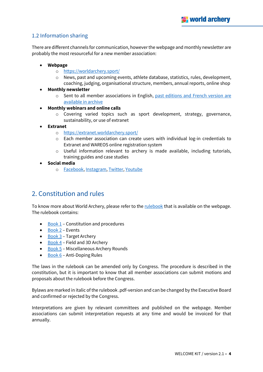# <span id="page-3-0"></span>1.2 Information sharing

There are different channels for communication, however the webpage and monthly newsletter are probably the most resourceful for a new member association:

- **Webpage**
	- o <https://worldarchery.sport/>
	- o News, past and upcoming events, athlete database, statistics, rules, development, coaching, judging, organisational structure, members, annual reports, online shop
- **Monthly newsletter**
	- o Sent to all member associations in English, [past editions and French version are](https://extranet.worldarchery.org/documents/index.php?dir=74)  [available in archive](https://extranet.worldarchery.org/documents/index.php?dir=74)
- **Monthly webinars and online calls**
	- o Covering varied topics such as sport development, strategy, governance, sustainability, or use of extranet
- **Extranet** 
	- o <https://extranet.worldarchery.sport/>
	- $\circ$  Each member association can create users with individual log-in credentials to Extranet and WAREOS online registration system
	- o Useful information relevant to archery is made available, including tutorials, training guides and case studies
- **Social media**
	- o [Facebook,](https://www.facebook.com/WorldArchery) [Instagram,](https://www.instagram.com/worldarchery/) [Twitter,](https://twitter.com/worldarchery) [Youtube](https://www.youtube.com/user/archerytv)

# <span id="page-3-1"></span>2. Constitution and rules

To know more about World Archery, please refer to the [rulebook](https://worldarchery.org/rulebook/) that is available on the webpage. The rulebook contains:

- $\bullet$  [Book 1](https://worldarchery.org/rulebook/article/1) Constitution and procedures
- [Book 2](https://worldarchery.org/rulebook/article/2) Events
- [Book 3](https://worldarchery.org/rulebook/article/3) Target Archery
- Book  $4$  Field and 3D Archery
- [Book 5](https://worldarchery.org/rulebook/article/5) Miscellaneous Archery Rounds
- $\bullet$  [Book 6](https://worldarchery.org/rulebook/article/1385) Anti-Doping Rules

The laws in the rulebook can be amended only by Congress. The procedure is described in the constitution, but it is important to know that all member associations can submit motions and proposals about the rulebook before the Congress.

Bylaws are marked in italic of the rulebook .pdf-version and can be changed by the Executive Board and confirmed or rejected by the Congress.

Interpretations are given by relevant committees and published on the webpage. Member associations can submit interpretation requests at any time and would be invoiced for that annually.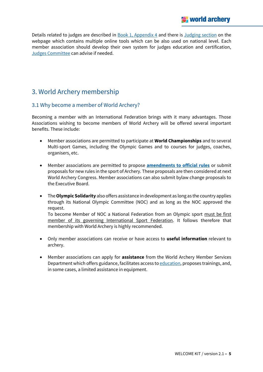Details related to judges are described in [Book 1, Appendix 4](https://worldarchery.org/rulebook/article/1131) and there is [Judging](https://worldarchery.org/Judging) section on the webpage which contains multiple online tools which can be also used on national level. Each member association should develop their own system for judges education and certification, [Judges Committee](https://worldarchery.org/committees#JUDGES_COMMITTEE) can advise if needed.

# <span id="page-4-0"></span>3. World Archery membership

## <span id="page-4-1"></span>3.1 Why become a member of World Archery?

Becoming a member with an International Federation brings with it many advantages. Those Associations wishing to become members of World Archery will be offered several important benefits. These include:

- Member associations are permitted to participate at **World Championships** and to several Multi-sport Games, including the Olympic Games and to courses for judges, coaches, organisers, etc.
- Member associations are permitted to propose **[amendments to official rules](https://worldarchery.sport/news/200073/electoral-and-voting-documents-published-world-archery-implements-governance-reforms)** or submit proposals for new rules in the sport of Archery. These proposals are then considered at next World Archery Congress. Member associations can also submit bylaw change proposals to the Executive Board.
- The **Olympic Solidarity** also offers assistance in development as long as the country applies through its National Olympic Committee (NOC) and as long as the NOC approved the request.

To become Member of NOC a National Federation from an Olympic sport must be first member of its governing International Sport Federation. It follows therefore that membership with World Archery is highly recommended.

- Only member associations can receive or have access to **useful information** relevant to archery.
- Member associations can apply for **assistance** from the World Archery Member Services Department which offers guidance, facilitates access t[o education,](https://worldarchery.sport/news/200032/nine-scholarships-study-sports-management-awarded-world-academy-sport-and-world-archery-1) proposes trainings, and, in some cases, a limited assistance in equipment.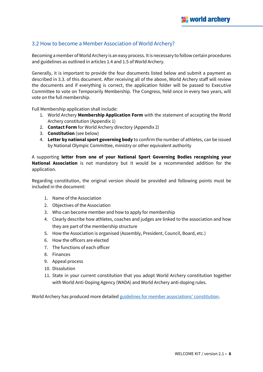## <span id="page-5-0"></span>3.2 How to become a Member Association of World Archery?

Becoming a member of World Archery is an easy process. It is necessary to follow certain procedures and guidelines as outlined in articles 1.4 and 1.5 of World Archery.

Generally, it is important to provide the four documents listed below and submit a payment as described in 3.3. of this document. After receiving all of the above, World Archery staff will review the documents and if everything is correct, the application folder will be passed to Executive Committee to vote on Temporarily Membership. The Congress, held once in every two years, will vote on the full membership.

Full Membership application shall include:

- 1. World Archery **Membership Application Form** with the statement of accepting the World Archery constitution (Appendix 1)
- 2. **Contact Form** for World Archery directory (Appendix 2)
- 3. **Constitution** (see below)
- 4. **Letter by national sport governing body** to confirm the number of athletes, can be issued by National Olympic Committee, ministry or other equivalent authority

A supporting **letter from one of your National Sport Governing Bodies recognising your National Association** is not mandatory but it would be a recommended addition for the application.

Regarding constitution, the original version should be provided and following points must be included in the document:

- 1. Name of the Association
- 2. Objectives of the Association
- 3. Who can become member and how to apply for membership
- 4. Clearly describe how athletes, coaches and judges are linked to the association and how they are part of the membership structure
- 5. How the Association is organised (Assembly, President, Council, Board, etc.)
- 6. How the officers are elected
- 7. The functions of each officer
- 8. Finances
- 9. Appeal process
- 10. Dissolution
- 11. State in your current constitution that you adopt World Archery constitution together with World Anti-Doping Agency (WADA) and World Archery anti-doping rules.

World Archery has produced more detaile[d guidelines for member a](https://extranet.worldarchery.org/documents/index.php/documents/index.php/?dir=548)ssociations' constitution.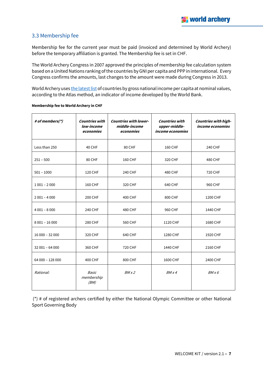## <span id="page-6-0"></span>3.3 Membership fee

Membership fee for the current year must be paid (invoiced and determined by World Archery) before the temporary affiliation is granted. The Membership fee is set in CHF.

The World Archery Congress in 2007 approved the principles of membership fee calculation system based on a United Nations ranking of the countries by GNI per capita and PPP in international. Every Congress confirms the amounts, last changes to the amount were made during Congress in 2013.

World Archery use[s the latest list](https://datahelpdesk.worldbank.org/knowledgebase/articles/906519-world-bank-country-and-lending-groups) of countries by gross national income per capita at nominal values, according to the Atlas method, an indicator of income developed by the World Bank.

| # of members(*)  | <b>Countries with</b><br>low-income<br>economies | <b>Countries with lower-</b><br>middle-income<br>economies | <b>Countries with</b><br>upper-middle-<br><i>income economies</i> | Countries with high-<br><i>income economies</i> |
|------------------|--------------------------------------------------|------------------------------------------------------------|-------------------------------------------------------------------|-------------------------------------------------|
| Less than 250    | 40 CHF                                           | 80 CHF                                                     | 160 CHF                                                           | 240 CHF                                         |
| $251 - 500$      | 80 CHF                                           | 160 CHF                                                    | 320 CHF                                                           | 480 CHF                                         |
| $501 - 1000$     | 120 CHF                                          | 240 CHF                                                    | 480 CHF                                                           | 720 CHF                                         |
| $1001 - 2000$    | 160 CHF                                          | 320 CHF                                                    | 640 CHF                                                           | 960 CHF                                         |
| $2001 - 4000$    | 200 CHF                                          | 400 CHF                                                    | 800 CHF                                                           | 1200 CHF                                        |
| $4001 - 8000$    | 240 CHF                                          | 480 CHF                                                    | 960 CHF                                                           | 1440 CHF                                        |
| $8001 - 16000$   | 280 CHF                                          | 560 CHF                                                    | 1120 CHF                                                          | 1680 CHF                                        |
| $16000 - 32000$  | 320 CHF                                          | 640 CHF                                                    | 1280 CHF                                                          | 1920 CHF                                        |
| $32001 - 64000$  | 360 CHF                                          | 720 CHF                                                    | 1440 CHF                                                          | 2160 CHF                                        |
| 64 000 - 128 000 | 400 CHF                                          | 800 CHF                                                    | 1600 CHF                                                          | 2400 CHF                                        |
| Rational:        | <b>Basic</b><br>membership<br>(BM)               | BMx2                                                       | BMx4                                                              | BMx6                                            |

#### **Membership fee to World Archery in CHF**

(\*) # of registered archers certified by either the National Olympic Committee or other National Sport Governing Body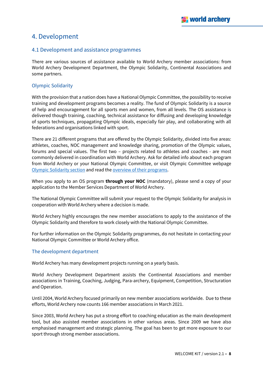# <span id="page-7-0"></span>4. Development

#### <span id="page-7-1"></span>4.1 Development and assistance programmes

There are various sources of assistance available to World Archery member associations: from World Archery Development Department, the Olympic Solidarity, Continental Associations and some partners.

#### <span id="page-7-2"></span>Olympic Solidarity

With the provision that a nation does have a National Olympic Committee, the possibility to receive training and development programs becomes a reality. The fund of Olympic Solidarity is a source of help and encouragement for all sports men and women, from all levels. The OS assistance is delivered though training, coaching, technical assistance for diffusing and developing knowledge of sports techniques, propagating Olympic ideals, especially fair play, and collaborating with all federations and organisations linked with sport.

There are 21 different programs that are offered by the Olympic Solidarity, divided into five areas: athletes, coaches, NOC management and knowledge sharing, promotion of the Olympic values, forums and special values. The first two – projects related to athletes and coaches - are most commonly delivered in coordination with World Archery. Ask for detailed info about each program from World Archery or your National Olympic Committee, or visit Olympic Committee webpage [Olympic Solidarity section](https://www.olympic.org/olympic-solidarity-commission) and read the [overview of their programs.](https://www.olympic.org/olympic-solidarity-world-programmes)

When you apply to an OS program **through your NOC** (mandatory), please send a copy of your application to the Member Services Department of World Archery.

The National Olympic Committee will submit your request to the Olympic Solidarity for analysis in cooperation with World Archery where a decision is made.

World Archery highly encourages the new member associations to apply to the assistance of the Olympic Solidarity and therefore to work closely with the National Olympic Committee.

For further information on the Olympic Solidarity programmes, do not hesitate in contacting your National Olympic Committee or World Archery office.

#### <span id="page-7-3"></span>The development department

World Archery has many development projects running on a yearly basis.

World Archery Development Department assists the Continental Associations and member associations in Training, Coaching, Judging, Para-archery, Equipment, Competition, Structuration and Operation.

Until 2004, World Archery focused primarily on new member associations worldwide. Due to these efforts, World Archery now counts 166 member associations in March 2021.

Since 2003, World Archery has put a strong effort to coaching education as the main development tool, but also assisted member associations in other various areas. Since 2009 we have also emphasised management and strategic planning. The goal has been to get more exposure to our sport through strong member associations.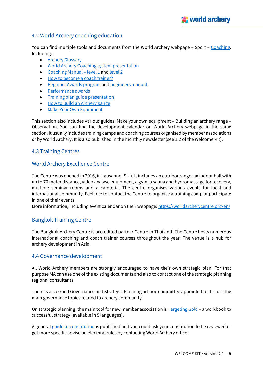## <span id="page-8-0"></span>4.2 World Archery coaching education

You can find multiple tools and documents from the World Archery webpage - Sport - [Coaching.](https://worldarchery.org/Coaching) Including:

- **[Archery Glossary](https://extranet.worldarchery.org/documents/index.php?dir=137)**
- [World Archery Coaching system presentation](https://documents.worldarchery.org/Coaches/Accreditation/WA_Coaching_presentation.pdf)
- [Coaching Manual](https://issuu.com/worldarchery/docs/manual_coaching_level_1)  level 1 an[d level 2](https://extranet.worldarchery.org/documents/index.php/Coaches/Accreditation/Coaching_Levels/Coaching_Manual_Level2.pdf)
- [How to become a coach trainer?](https://extranet.worldarchery.org/documents/index.php/documents/?doc=3893)
- [Beginner Awards program](https://worldarchery.org/beginners-awards) and [beginners](https://extranet.worldarchery.org/documents/index.php/Federation/Award_Schemes/Beginners_Manual.pdf) manual
- [Performance awards](https://extranet.worldarchery.org/documents/index.php/documents/?dir=97)
- [Training plan guide presentation](http://documents.worldarchery.org/documents/?doc=4502)
- [How to Build an Archery Range](https://documents.worldarchery.org/Coaches/Facilities/How_to_Build_an_Archery_Range.pdf)
- [Make Your Own Equipment](https://documents.worldarchery.org/Coaches/Equipment/MAKE_YOUR_OWN_EQUIPMENT.pdf)

This section also includes various guides: Make your own equipment – Building an archery range – Observation. You can find the development calendar on World Archery webpage in the same section. It usually includes training camps and coaching courses organised by member associations or by World Archery. It is also published in the monthly newsletter (see 1.2 of the Welcome Kit).

#### <span id="page-8-1"></span>4.3 Training Centres

#### <span id="page-8-2"></span>World Archery Excellence Centre

The Centre was opened in 2016, in Lausanne (SUI). It includes an outdoor range, an indoor hall with up to 70 meter distance, video analyse equipment, a gym, a sauna and hydromassage for recovery, multiple seminar rooms and a cafeteria. The centre organises various events for local and international community. Feel free to contact the Centre to organise a training camp or participate in one of their events.

More information, including event calendar on their webpage: <https://worldarcherycentre.org/en/>

## <span id="page-8-3"></span>Bangkok Training Centre

The Bangkok Archery Centre is accredited partner Centre in Thailand. The Centre hosts numerous international coaching and coach trainer courses throughout the year. The venue is a hub for archery development in Asia.

#### <span id="page-8-4"></span>4.4 Governance development

All World Archery members are strongly encouraged to have their own strategic plan. For that purpose MA can use one of the existing documents and also to contact one of the strategic planning regional consultants.

There is also Good Governance and Strategic Planning ad-hoc committee appointed to discuss the main governance topics related to archery community.

On strategic planning, the main tool for new member association i[s Targeting Gold](https://extranet.worldarchery.org/documents/index.php/documents/index.php/?dir=503) – a workbook to successful strategy (available in 5 languages).

A genera[l guide to constitution](https://extranet.worldarchery.org/documents/index.php/documents/index.php/?dir=548) is published and you could ask your constitution to be reviewed or get more specific advise on electoral rules by contacting World Archery office.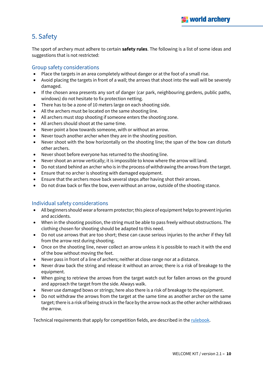# <span id="page-9-0"></span>5. Safety

The sport of archery must adhere to certain **safety rules**. The following is a list of some ideas and suggestions that is not restricted:

## <span id="page-9-1"></span>Group safety considerations

- Place the targets in an area completely without danger or at the foot of a small rise.
- Avoid placing the targets in front of a wall; the arrows that shoot into the wall will be severely damaged.
- If the chosen area presents any sort of danger (car park, neighbouring gardens, public paths, windows) do not hesitate to fix protection netting.
- There has to be a zone of 10 meters large on each shooting side.
- All the archers must be located on the same shooting line.
- All archers must stop shooting if someone enters the shooting zone.
- All archers should shoot at the same time.
- Never point a bow towards someone, with or without an arrow.
- Never touch another archer when they are in the shooting position.
- Never shoot with the bow horizontally on the shooting line; the span of the bow can disturb other archers.
- Never shoot before everyone has returned to the shooting line.
- Never shoot an arrow vertically; it is impossible to know where the arrow will land.
- Do not stand behind an archer who is in the process of withdrawing the arrows from the target.
- Ensure that no archer is shooting with damaged equipment.
- Ensure that the archers move back several steps after having shot their arrows.
- Do not draw back or flex the bow, even without an arrow, outside of the shooting stance.

## <span id="page-9-2"></span>Individual safety considerations

- All beginners should wear a forearm protector; this piece of equipment helps to prevent injuries and accidents.
- When in the shooting position, the string must be able to pass freely without obstructions. The clothing chosen for shooting should be adapted to this need.
- Do not use arrows that are too short; these can cause serious injuries to the archer if they fall from the arrow rest during shooting.
- Once on the shooting line, never collect an arrow unless it is possible to reach it with the end of the bow without moving the feet.
- Never pass in front of a line of archers; neither at close range nor at a distance.
- Never draw back the string and release it without an arrow; there is a risk of breakage to the equipment.
- When going to retrieve the arrows from the target watch out for fallen arrows on the ground and approach the target from the side. Always walk.
- Never use damaged bows or strings; here also there is a risk of breakage to the equipment.
- Do not withdraw the arrows from the target at the same time as another archer on the same target; there is a risk of being struck in the face by the arrow nock as the other archer withdraws the arrow.

Technical requirements that apply for competition fields, are described in th[e rulebook.](https://worldarchery.org/rulebook/article/13)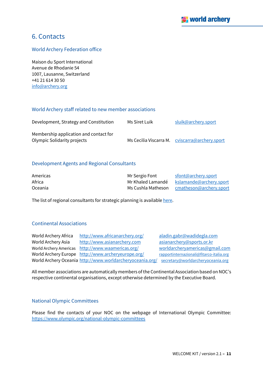# <span id="page-10-0"></span>6. Contacts

#### <span id="page-10-1"></span>World Archery Federation office

Maison du Sport International Avenue de Rhodanie 54 1007, Lausanne, Switzerland +41 21 614 30 50 [info@archery.org](mailto:info@archery.org)

#### <span id="page-10-2"></span>World Archery staff related to new member associations

| Development, Strategy and Constitution                                | Ms Siret Luik | sluik@archery.sport                            |
|-----------------------------------------------------------------------|---------------|------------------------------------------------|
| Membership application and contact for<br>Olympic Solidarity projects |               | Ms Cecilia Viscarra M. cviscarra@archery.sport |

#### <span id="page-10-3"></span>Development Agents and Regional Consultants

| Americas | Mr Sergio Font     | sfont@archery.sport     |
|----------|--------------------|-------------------------|
| Africa   | Mr Khaled Lamandé  | kslamande@archery.sport |
| Oceania  | Ms Cushla Matheson | cmatheson@archery.sport |

The list of regional consultants for strategic planning is available [here.](https://worldarchery.org/Development)

#### <span id="page-10-4"></span>Continental Associations

| World Archery Africa | http://www.africanarchery.org/                                                              | aladin.gabr@wadidegla.com                |
|----------------------|---------------------------------------------------------------------------------------------|------------------------------------------|
| World Archery Asia   | http://www.asianarchery.com                                                                 | asianarchery@sports.or.kr                |
|                      | World Archery Americas http://www.waamericas.org/                                           | worldarcheryamericas@gmail.com           |
|                      | World Archery Europe http://www.archeryeurope.org/                                          | rapportinternazionali@fitarco-italia.org |
|                      | World Archery Oceania http://www.worldarcheryoceania.org/ secretary@worldarcheryoceania.org |                                          |

All member associations are automatically members of the Continental Association based on NOC's respective continental organisations, except otherwise determined by the Executive Board.

#### <span id="page-10-5"></span>National Olympic Committees

Please find the contacts of your NOC on the webpage of International Olympic Committee: <https://www.olympic.org/national-olympic-committees>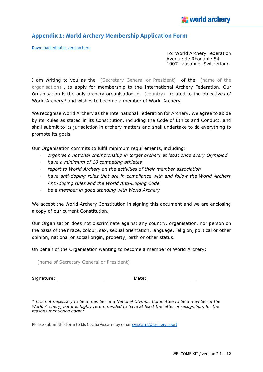# <span id="page-11-0"></span>**Appendix 1: World Archery Membership Application Form**

[Download editable version](https://documents.worldarchery.sport/Members/MA_membership_application.docx) here

To: World Archery Federation Avenue de Rhodanie 54 1007 Lausanne, Switzerland

I am writing to you as the (Secretary General or President) of the (name of the organisation) , to apply for membership to the International Archery Federation. Our Organisation is the only archery organisation in (country) related to the objectives of World Archery\* and wishes to become a member of World Archery.

We recognise World Archery as the International Federation for Archery. We agree to abide by its Rules as stated in its Constitution, including the Code of Ethics and Conduct, and shall submit to its jurisdiction in archery matters and shall undertake to do everything to promote its goals.

Our Organisation commits to fulfil minimum requirements, including:

- *organise a national championship in target archery at least once every Olympiad*
- *have a minimum of 10 competing athletes*
- *report to World Archery on the activities of their member association*
- *have anti-doping rules that are in compliance with and follow the World Archery Anti-doping rules and the World Anti-Doping Code*
- *be a member in good standing with World Archery*

We accept the World Archery Constitution in signing this document and we are enclosing a copy of our current Constitution.

Our Organisation does not discriminate against any country, organisation, nor person on the basis of their race, colour, sex, sexual orientation, language, religion, political or other opinion, national or social origin, property, birth or other status.

On behalf of the Organisation wanting to become a member of World Archery:

(name of Secretary General or President)

Signature: \_\_\_\_\_\_\_\_\_\_\_\_\_\_\_\_\_ Date: \_\_\_\_\_\_\_\_\_\_\_\_\_\_\_\_\_

\* *It is not necessary to be a member of a National Olympic Committee to be a member of the World Archery, but it is highly recommended to have at least the letter of recognition, for the reasons mentioned earlier*.

Please submit this form to Ms Cecilia Viscarra by emai[l cviscarra@archery.sport](mailto:cviscarra@archery.sport)